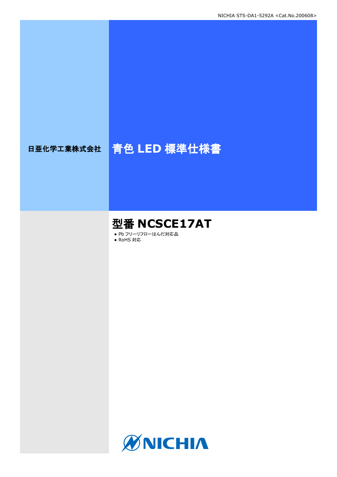# 日亜化学工業株式会社 青色 **LED** 標準仕様書

# 型番 **NCSCE17AT**

● Pb フリーリフローはんだ対応品

● RoHS 対応

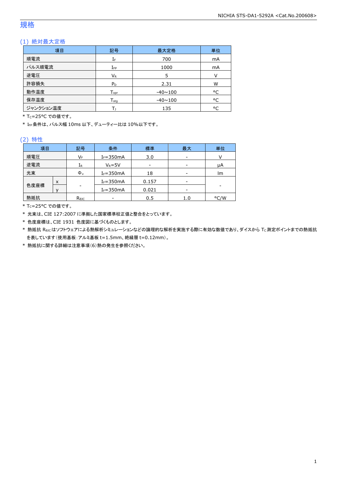### 規格

### (1) 絶対最大定格

| 項目        | 記号                           | 最大定格           | 単位 |
|-----------|------------------------------|----------------|----|
| 順電流       | IF                           | 700            | mA |
| パルス順電流    | $I_{FP}$                     | 1000           | mA |
| 逆電圧       | VR                           | 5              | V  |
| 許容損失      | P <sub>D</sub>               | 2.31           | W  |
| 動作温度      | ${\mathsf T}_{\textsf{opr}}$ | $-40 \sim 100$ | °C |
| 保存温度      | $T_{\rm stq}$                | $-40 \sim 100$ | °C |
| ジャンクション温度 |                              | 135            | °C |

\* Tc=25°C での値です。

\* IFP条件は、パルス幅 10ms 以下、デューティー比は 10%以下です。

#### (2) 特性

| 項目   |   | 記号             | 条件            | 標準                       | 最大  | 単位   |
|------|---|----------------|---------------|--------------------------|-----|------|
| 順電圧  |   | VF             | $I_F = 350mA$ | 3.0                      | -   |      |
| 逆電流  |   | IR             | $V_R = 5V$    | $\overline{\phantom{a}}$ | -   | μA   |
| 光束   |   | $\Phi_{\rm v}$ | $I_F = 350mA$ | 18                       | -   | lm   |
|      | X |                | $I_F = 350mA$ | 0.157                    | -   |      |
| 色度座標 |   | -              | $I_F = 350mA$ | 0.021                    | -   |      |
| 熱抵抗  |   | Rejc           |               | 0.5                      | 1.0 | °C/W |

\* TC=25°C での値です。

\* 光束は、CIE 127:2007 に準拠した国家標準校正値と整合をとっています。

\* 色度座標は、CIE 1931 色度図に基づくものとします。

\* 熱抵抗 Rejcはソフトウェアによる熱解析シミュレーションなどの論理的な解析を実施する際に有効な数値であり、ダイスから Tc測定ポイントまでの熱抵抗 を表しています(使用基板:アルミ基板 t=1.5mm、絶縁層 t=0.12mm)。

\* 熱抵抗に関する詳細は注意事項(6)熱の発生を参照ください。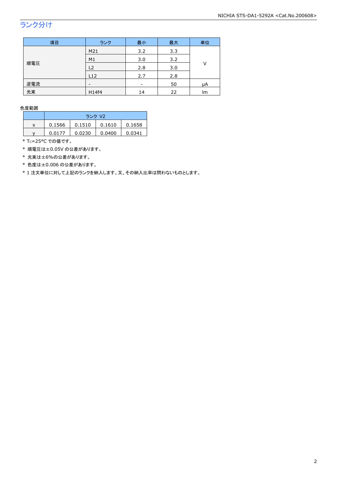## ランク分け

| 項目  | ランク            | 最小                       | 最大  | 単位 |
|-----|----------------|--------------------------|-----|----|
|     | M21            | 3.2                      | 3.3 |    |
|     | M <sub>1</sub> | 3.0                      | 3.2 | V  |
| 順電圧 | L <sub>2</sub> | 2.8                      | 3.0 |    |
|     | L12            | 2.7                      | 2.8 |    |
| 逆電流 | -              | $\overline{\phantom{a}}$ | 50  | μA |
| 光束  | H14f4          | 14                       | 22  | lm |

色度範囲

|   | ランク V2 |        |        |        |
|---|--------|--------|--------|--------|
| x | 0.1566 | 0.1510 | 0.1610 | 0.1658 |
|   | 0.0177 | 0.0230 | 0.0400 | 0.0341 |

\* Tc=25°C での値です。

\* 順電圧は±0.05V の公差があります。

\* 光束は±6%の公差があります。

\* 色度は±0.006 の公差があります。

\* 1 注文単位に対して上記のランクを納入します。又、その納入比率は問わないものとします。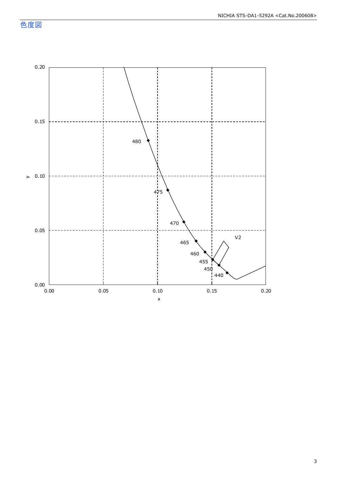色度図

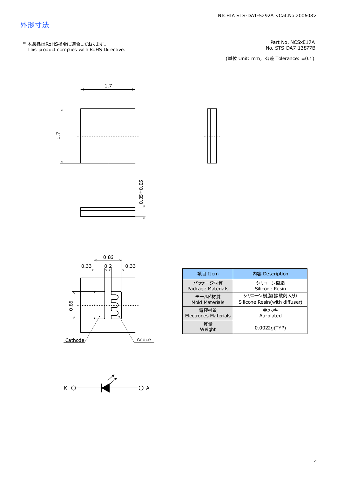### 外形寸法

This product complies with RoHS Directive. \* 本製品はRoHS指令に適合しております。

No. STS-DA7-13877B Part No. NCSxE17A

(単位 Unit: mm) (単位 Unit: mm, 公差 Tolerance: ±0.1)













| 項目 Item               | 内容 Description                |
|-----------------------|-------------------------------|
| パッケージ材質               | シリコーン樹脂                       |
| Package Materials     | Silicone Resin                |
| モールド材質                | シリコーン樹脂(拡散剤入り)                |
| <b>Mold Materials</b> | Silicone Resin(with diffuser) |
| 電極材質                  | 余メッキ                          |
| Electrodes Materials  | Au-plated                     |
| 質量<br>Weight          | 0.0022q(TYP)                  |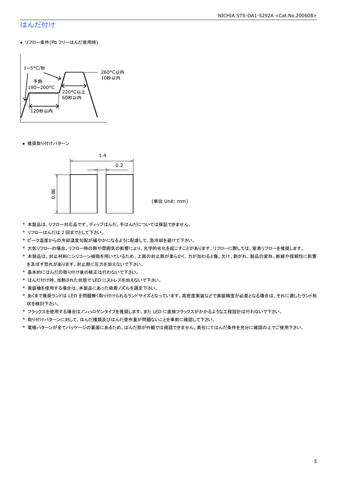#### NICHIA STS-DA1-5292A <Cat.No.200608>

### はんだ付け

● リフロー条件(Pb フリーはんだ使用時)



● 推奨取り付けパターン



(単位 Unit: mm)

- \* 本製品は、リフロー対応品です。ディップはんだ、手はんだについては保証できません。
- \* リフローはんだは 2 回までとして下さい。
- \* ピーク温度からの冷却温度勾配が緩やかになるように配慮して、急冷却を避けて下さい。
- \* 大気リフローの場合、リフロー時の熱や雰囲気の影響により、光学的劣化を起こすことがあります。リフローに際しては、窒素リフローを推奨します。
- \* 本製品は、封止材料にシリコーン樹脂を用いているため、上面の封止部が柔らかく、力が加わると傷、欠け、剥がれ、製品の変形、断線や信頼性に影響 を及ぼす恐れがあります。封止部に圧力を加えないで下さい。
- \* 基本的にはんだの取り付け後の修正は行わないで下さい。
- \* はんだ付け時、加熱された状態で LED にストレスを加えないで下さい。
- \* 実装機を使用する場合は、本製品にあった吸着ノズルを選定下さい。
- \* あくまで推奨ランドは LED を問題無く取り付けられるランドサイズとなっています。高密度実装などで実装精度が必要となる場合は、それに適したランド形 状を検討下さい。
- \* フラックスを使用する場合はノンハロゲンタイプを推奨します。また LED に直接フラックスがかかるような工程設計は行わないで下さい。
- \* 取り付けパターンに対して、はんだ種類及びはんだ塗布量が問題ないことを事前に確認して下さい。
- \* 電極パターンが全てパッケージの裏面にあるため、はんだ部が外観では確認できません。貴社にてはんだ条件を充分に確認の上でご使用下さい。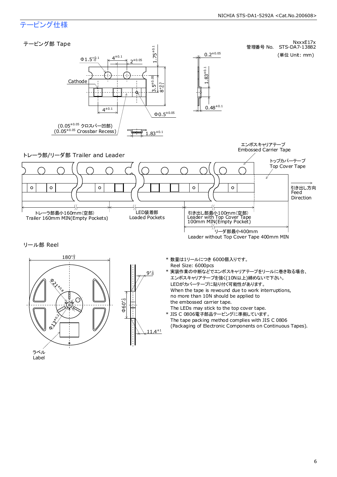#### NICHIA STS-DA1-5292A <Cat.No.200608>

### テーピング仕様



6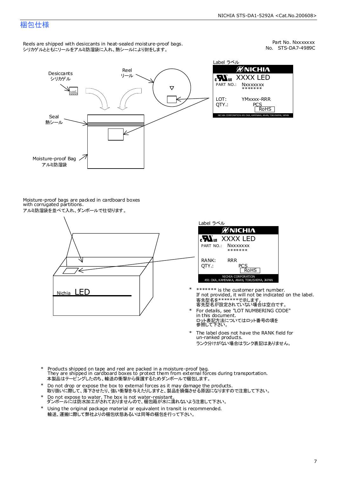### 梱包仕様

Reels are shipped with desiccants in heat-sealed moisture-proof bags. シリカゲルとともにリールをアルミ防湿袋に入れ、熱シールにより封をします。

No. STS-DA7-4989C Part No. Nxxxxxxx



Label ラベル йNICHI∧ XXXX LED **Nxxxxxxx** \*\*\*\*\*\*\* YMxxxx-RRR PCS<br>RoHS NICHIA CORPORATION 491 OKA, KAMINAKA, ANAN, TOKUSHIMA, JAPAN

Moisture-proof bags are packed in cardboard boxes with corrugated partitions. アルミ防湿袋を並べて入れ、ダンボールで仕切ります。





- 客先型名を\*\*\*\*\*\*\*\*で示します。<br>客先型名が設定されていない場合は空白です。 If not provided, it will not be indicated on the label. \*\*\*\*\*\*\* is the customer part number.
- For details, see "LOT NUMBERING CODE" in this document. ロット表記方法についてはロット番号の項を<br>参照して下さい。 \*
- The label does not have the RANK field for un-ranked products. ランク分けがない場合はランク表記はありません。 \*
- Products shipped on tape and reel are packed in a moisture-proof bag. They are shipped in cardboard boxes to protect them from external forces during transportation. 本製品はテーピングしたのち、輸送の衝撃から保護するためダンボールで梱包します。 \*
- Do not drop or expose the box to external forces as it may damage the products. 取り扱いに際して、落下させたり、強い衝撃を与えたりしますと、製品を損傷させる原因になりますので注意して下さい。 \*
- Do not expose to water. The box is not water-resistant. ダンボールには防水加工がされておりませんので、梱包箱が水に濡れないよう注意して下さい。 \*
- \* Using the original package material or equivalent in transit is recommended. 輸送、運搬に際して弊社よりの梱包状態あるいは同等の梱包を行って下さい。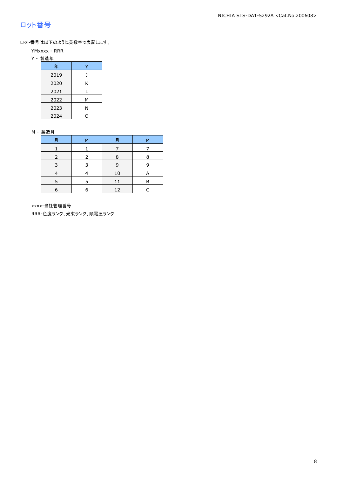### ロット番号

ロット番号は以下のように英数字で表記します。

- YMxxxx RRR
- Y 製造年

| 年    |   |
|------|---|
| 2019 |   |
| 2020 | Κ |
| 2021 |   |
| 2022 | м |
| 2023 | Ν |
| 2024 |   |

#### M - 製造月

| 月 | м | 月  | м |
|---|---|----|---|
|   |   |    |   |
|   |   | 8  | 8 |
| 3 | २ | 9  | q |
|   |   | 10 |   |
| ς |   | 11 | в |
| 6 | a | 12 |   |

xxxx-当社管理番号

RRR-色度ランク、光束ランク、順電圧ランク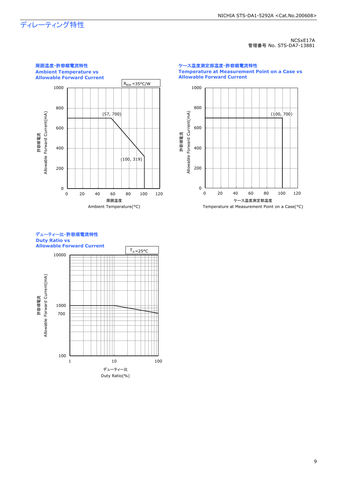## ディレーティング特性

NCSxE17A 管理番号 No. STS-DA7-13881



ケース温度測定部温度-許容順電流特性 **Temperature at Measurement Point on a Case vs Allowable Forward Current**



#### デューティー比-許容順電流特性 **Duty Ratio vs Allowable Forward Current**

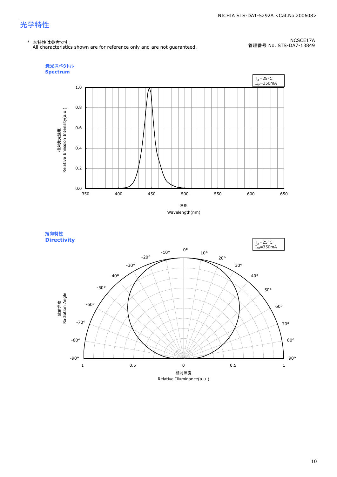#### NICHIA STS-DA1-5292A <Cat.No.200608>

### 光学特性

#### \* 本特性は参考です。

All characteristics shown are for reference only and are not guaranteed.

NCSCE17A 管理番号 No. STS-DA7-13849





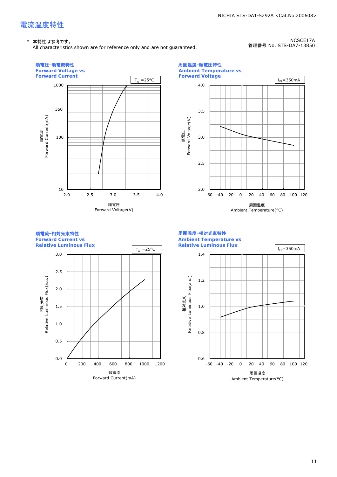### 電流温度特性

All characteristics shown are for reference only and are not guaranteed.

NCSCE17A 管理番号 No. STS-DA7-13850

NICHIA STS-DA1-5292A <Cat.No.200608>



Ambient Temperature(°C)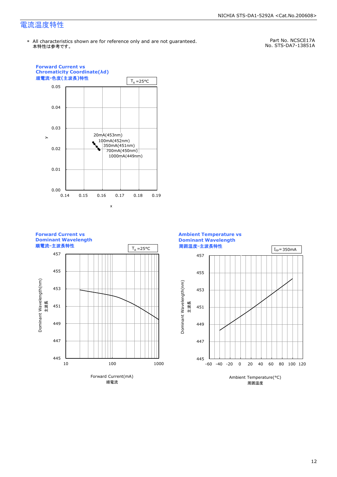### 電流温度特性

Part No. NCSCE17A No. STS-DA7-13851A

NICHIA STS-DA1-5292A <Cat.No.200608>



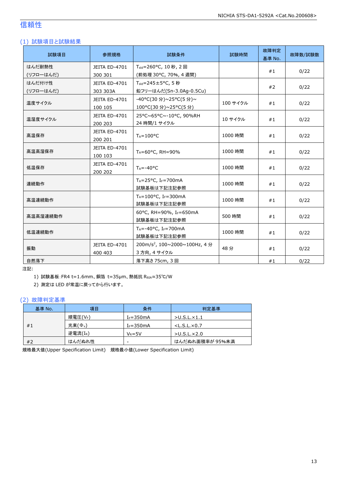### 信頼性

### (1) 試験項目と試験結果

| 試験項目      | 参照規格                     | 試験条件                                       | 試験時間      | 故障判定<br>基準 No. | 故障数/試験数 |
|-----------|--------------------------|--------------------------------------------|-----------|----------------|---------|
| はんだ耐熱性    | JEITA ED-4701            | T <sub>sld</sub> =260°C, 10秒, 2回           |           | #1             | 0/22    |
| (リフローはんだ) | 300 301                  | (前処理 30℃, 70%, 4 週間)                       |           |                |         |
| はんだ付け性    | JEITA ED-4701            | $T_{\text{std}} = 245 \pm 5^{\circ}$ C, 5秒 |           | #2             | 0/22    |
| (リフローはんだ) | 303 303A                 | 鉛フリーはんだ(Sn-3.0Ag-0.5Cu)                    |           |                |         |
| 温度サイクル    | JEITA ED-4701            | -40°C(30分)~25°C(5分)~                       | 100 サイクル  | #1             | 0/22    |
|           | 100 105                  | 100°C(30 分)~25°C(5 分)                      |           |                |         |
| 温湿度サイクル   | JEITA ED-4701            | 25°C~65°C~-10°C, 90%RH                     | 10 サイクル   | #1             | 0/22    |
|           | 200 203                  | 24 時間/1 サイクル                               |           |                |         |
| 高温保存      | JEITA ED-4701<br>200 201 | $T_A = 100^{\circ}C$                       | 1000 時間   | #1             | 0/22    |
|           | JEITA ED-4701            |                                            |           | #1             | 0/22    |
| 高温高湿保存    | 100 103                  | $T_A = 60^{\circ}$ C, RH = 90%             | 1000 時間   |                |         |
| 低温保存      | JEITA ED-4701            | $T_A = -40$ °C                             | 1000 時間   |                | 0/22    |
|           | 200 202                  |                                            |           | #1             |         |
| 連続動作      |                          | $T_A = 25$ °C, I <sub>F</sub> =700mA       | 1000 時間   | #1             | 0/22    |
|           |                          | 試験基板は下記注記参照                                |           |                |         |
| 高温連続動作    |                          | $T_A = 100$ °C, IF=300mA<br>試験基板は下記注記参照    | 1000 時間   | #1             | 0/22    |
| 高温高湿連続動作  |                          | 60°C, RH=90%, IF=650mA                     | 500 時間    | #1             | 0/22    |
|           |                          | 試験基板は下記注記参照                                |           |                |         |
| 低温連続動作    |                          | $T_A = -40$ °C, I <sub>F</sub> =700mA      | 1000 時間   | #1             | 0/22    |
|           |                          | 試験基板は下記注記参照                                |           |                |         |
| 振動        | JEITA ED-4701            | 200m/s <sup>2</sup> , 100~2000~100Hz, 4分   | 48分<br>#1 |                | 0/22    |
|           | 400 403<br>3 方向, 4 サイクル  |                                            |           |                |         |
| 自然落下      |                          | 落下高さ 75cm, 3 回                             |           | #1             | 0/22    |

注記:

1) 試験基板:FR4 t=1.6mm、銅箔 t=35μm、熱抵抗 RθJA≈35℃/W

2) 測定は LED が常温に戻ってから行います。

#### (2) 故障判定基準

| 基準 No. | 項目                  | 条件            | 判定基準                    |
|--------|---------------------|---------------|-------------------------|
|        | 順電圧(VF)             | $I_F = 350mA$ | $>$ U.S.L. $\times$ 1.1 |
| #1     | 光束(Φ <sub>ν</sub> ) | $I_F = 350mA$ | $<$ L.S.L. $\times$ 0.7 |
|        | 逆電流(IR)             | $V_R = 5V$    | $>$ U.S.L. $\times$ 2.0 |
| #2     | はんだぬれ性              | -             | はんだぬれ面積率が 95%未満         |

規格最大値(Upper Specification Limit) 規格最小値(Lower Specification Limit)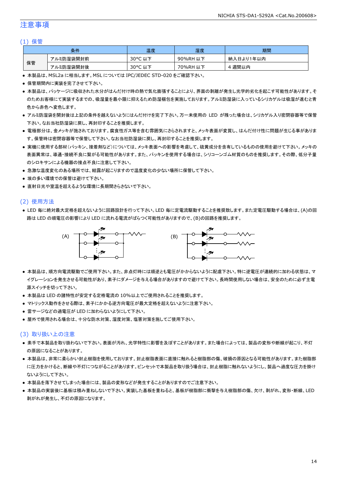### 注意事項

#### (1) 保管

|    | 条件        | 温度                    | 湿度       | 期間        |
|----|-----------|-----------------------|----------|-----------|
|    | アルミ防湿袋開封前 | $30^{\circ}$ C<br>こ以下 | 90%RH 以下 | 納入日より1年以内 |
| 保管 | アルミ防湿袋開封後 | 30°C<br>,以下<br>֊      | 70%RH 以下 | 週間以内      |

● 本製品は、MSL2a に相当します。MSL については IPC/JEDEC STD-020 をご確認下さい。

- 保管期間内に実装を完了させて下さい。
- 本製品は、パッケージに吸収された水分がはんだ付け時の熱で気化膨張することにより、界面の剥離が発生し光学的劣化を起こす可能性があります。そ のためお客様にて実装するまでの、吸湿量を最小限に抑えるため防湿梱包を実施しております。アルミ防湿袋に入っているシリカゲルは吸湿が進むと青 色から赤色へ変色します。
- アルミ防湿袋を開封後は上記の条件を越えないようにはんだ付けを完了下さい。万一未使用の LED が残った場合は、シリカゲル入り密閉容器等で保管 下さい。なお当社防湿袋に戻し、再封印することを推奨します。
- 電極部分は、金メッキが施されております。腐食性ガス等を含む雰囲気にさらされますと、メッキ表面が変質し、はんだ付け性に問題が生じる事がありま す。保管時は密閉容器等で保管して下さい。なお当社防湿袋に戻し、再封印することを推奨します。
- 実機に使用する部材(パッキン、接着剤など)については、メッキ表面への影響を考慮して、硫黄成分を含有しているものの使用を避けて下さい。メッキの 表面異常は、導通・接続不良に繋がる可能性があります。また、パッキンを使用する場合は、シリコーンゴム材質のものを推奨します。その際、低分子量 のシロキサンによる機器の接点不良に注意して下さい。
- 急激な温度変化のある場所では、結露が起こりますので温度変化の少ない場所に保管して下さい。
- 埃の多い環境での保管は避けて下さい。
- 直射日光や室温を超えるような環境に長期間さらさないで下さい。

#### (2) 使用方法

● LED 毎に絶対最大定格を超えないように回路設計を行って下さい。LED 毎に定電流駆動することを推奨致します。また定電圧駆動する場合は、(A)の回 路は LED の順電圧の影響により LED に流れる電流がばらつく可能性がありますので、(B)の回路を推奨します。



- 本製品は、順方向電流駆動でご使用下さい。また、非点灯時には順逆とも電圧がかからないように配慮下さい。特に逆電圧が連続的に加わる状態は、マ イグレーションを発生させる可能性があり、素子にダメージを与える場合がありますので避けて下さい。長時間使用しない場合は、安全のために必ず主電 源スイッチを切って下さい。
- 本製品は LED の諸特性が安定する定格電流の 10%以上でご使用されることを推奨します。
- マトリックス動作をさせる際は、素子にかかる逆方向電圧が最大定格を超えないように注意下さい。
- 雷サージなどの過電圧が LED に加わらないようにして下さい。
- 屋外で使用される場合は、十分な防水対策、湿度対策、塩害対策を施してご使用下さい。

#### (3) 取り扱い上の注意

- 素手で本製品を取り扱わないで下さい。表面が汚れ、光学特性に影響を及ぼすことがあります。また場合によっては、製品の変形や断線が起こり、不灯 の原因になることがあります。
- 本製品は、非常に柔らかい封止樹脂を使用しております。封止樹脂表面に直接に触れると樹脂部の傷、破損の原因となる可能性があります。また樹脂部 に圧力をかけると、断線や不灯につながることがあります。ピンセットで本製品を取り扱う場合は、封止樹脂に触れないようにし、製品へ過度な圧力を掛け ないようにして下さい。
- 本製品を落下させてしまった場合には、製品の変形などが発生することがありますのでご注意下さい。
- 本製品の実装後に基板は積み重ねしないで下さい。実装した基板を重ねると、基板が樹脂部に衝撃を与え樹脂部の傷、欠け、剥がれ、変形・断線、LED 剥がれが発生し、不灯の原因になります。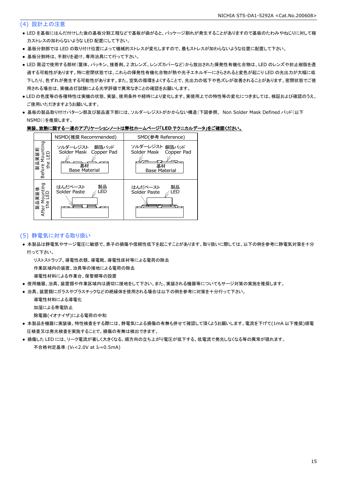#### (4) 設計上の注意

- LED を基板にはんだ付けした後の基板分割工程などで基板が曲がると、パッケージ割れが発生することがありますので基板のたわみやねじりに対して極 力ストレスの加わらないような LED 配置にして下さい。
- 基板分割部では LED の取り付け位置によって機械的ストレスが変化しますので、最もストレスが加わらないような位置に配置して下さい。
- 基板分割時は、手割りを避け、専用治具にて行って下さい。
- LED 周辺で使用する部材(筐体、パッキン、接着剤、2 次レンズ、レンズカバーなど)から放出された揮発性有機化合物は、LED のレンズや封止樹脂を透 過する可能性があります。特に密閉状態では、これらの揮発性有機化合物が熱や光子エネルギーにさらされると変色が起こり LED の光出力が大幅に低 下したり、色ずれが発生する可能性があります。また、空気の循環をよくすることで、光出力の低下や色ズレが改善されることがあります。密閉状態でご使 用される場合は、実機点灯試験による光学評価で異常なきことの確認をお願いします。
- LED の色度等の各種特性は実機の状態、実装、使用条件や経時により変化します。実使用上での特性等の変化につきましては、検証および確認のうえ、 ご使用いただきますようお願いします。
- 基板の製品取り付けパターン部及び製品直下部には、ソルダーレジストがかからない構造(下図参照、 Non Solder Mask Defined パッド(以下 NSMD))を推奨します。

#### 実装、放熱に関する一連のアプリケーションノートは弊社ホームページ「**LED** テクニカルデータ」をご確認ください。



#### (5) 静電気に対する取り扱い

● 本製品は静電気やサージ電圧に敏感で、素子の損傷や信頼性低下を起こすことがあります。取り扱いに際しては、以下の例を参考に静電気対策を十分 行って下さい。

リストストラップ、導電性衣類、導電靴、導電性床材等による電荷の除去

作業区域内の装置、治具等の接地による電荷の除去

導電性材料による作業台、保管棚等の設置

- 使用機器、治具、装置類や作業区域内は適切に接地をして下さい。また、実装される機器等についてもサージ対策の実施を推奨します。
- 治具、装置類にガラスやプラスチックなどの絶縁体を使用される場合は以下の例を参考に対策を十分行って下さい。

導電性材料による導電化

加湿による帯電防止

除電器(イオナイザ)による電荷の中和

- 本製品を機器に実装後、特性検査をする際には、静電気による損傷の有無も併せて確認して頂くようお願いします。電流を下げて(1mA 以下推奨)順電 圧検査又は発光検査を実施することで、損傷の有無は検出できます。
- 損傷した LED には、リーク電流が著しく大きくなる、順方向の立ち上がり電圧が低下する、低電流で発光しなくなる等の異常が現れます。 不合格判定基準: (VF<2.0V at IF=0.5mA)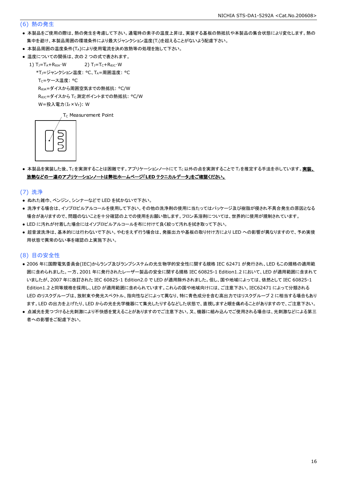#### (6) 熱の発生

- 本製品をご使用の際は、熱の発生を考慮して下さい。通電時の素子の温度上昇は、実装する基板の熱抵抗や本製品の集合状態により変化します。熱の 集中を避け、本製品周囲の環境条件により最大ジャンクション温度(Tj)を超えることがないよう配慮下さい。
- 本製品周囲の温度条件(TA)により使用電流を決め放熱等の処理を施して下さい。
- 温度についての関係は、次の2つの式で表されます。
	- 1)  $T_J = T_A + R_{\theta JA} \cdot W$  2)  $T_J = T_C + R_{\theta JC} \cdot W$ 
		- \*TJ=ジャンクション温度: °C、TA=周囲温度: °C

T<sub>C</sub>=ケース温度: °C

RθJA=ダイスから周囲空気までの熱抵抗: °C/W

ReJc=ダイスから Tc 測定ポイントまでの熱抵抗: °C/W

 $W = \frac{1}{2} \lambda \frac{1}{2} \sum_{r=1}^{n} (I_{F} \times V_{F})$ : W

T<sub>C</sub> Measurement Point



● 本製品を実装した後、Tcを実測することは困難です。アプリケーションノートにて Tc以外の点を実測することで T」を推定する手法を示しています。実装、 放熱などの一連のアプリケーションノートは弊社ホームページ「**LED** テクニカルデータ」をご確認ください。

(7) 洗浄

- ぬれた雑巾、ベンジン、シンナーなどで LED を拭かないで下さい。
- 洗浄する場合は、イソプロピルアルコールを使用して下さい。その他の洗浄剤の使用に当たってはパッケージ及び樹脂が侵され不具合発生の原因となる 場合がありますので、問題のないことを十分確認の上での使用をお願い致します。フロン系溶剤については、世界的に使用が規制されています。
- LED に汚れが付着した場合にはイソプロピルアルコールを布に付けて良く絞って汚れを拭き取って下さい。
- 超音波洗浄は、基本的には行わないで下さい。やむをえず行う場合は、発振出力や基板の取り付け方により LED への影響が異なりますので、予め実使 用状態で異常のない事を確認の上実施下さい。

#### (8) 目の安全性

- 2006 年に国際電気委員会(IEC)からランプ及びランプシステムの光生物学的安全性に関する規格 IEC 62471 が発行され、LED もこの規格の適用範 囲に含められました。一方、2001 年に発行されたレーザー製品の安全に関する規格 IEC 60825-1 Edition1.2 において、LED が適用範囲に含まれて いましたが、2007 年に改訂された IEC 60825-1 Edition2.0 で LED が適用除外されました。但し、国や地域によっては、依然として IEC 60825-1 Edition1.2 と同等規格を採用し、LED が適用範囲に含められています。これらの国や地域向けには、ご注意下さい。IEC62471 によって分類される LED のリスクグループは、放射束や発光スペクトル、指向性などによって異なり、特に青色成分を含む高出力ではリスクグループ 2 に相当する場合もあり ます。LED の出力を上げたり、LED からの光を光学機器にて集光したりするなどした状態で、直視しますと眼を痛めることがありますので、ご注意下さい。
- 点滅光を見つづけると光刺激により不快感を覚えることがありますのでご注意下さい。又、機器に組み込んでご使用される場合は、光刺激などによる第三 者への影響をご配慮下さい。